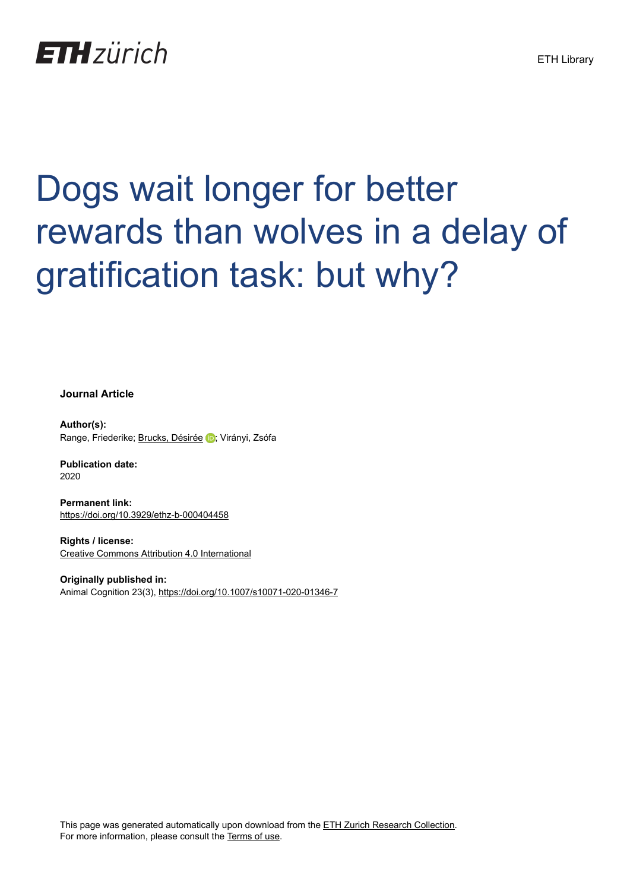# **ETH**zürich

# Dogs wait longer for better rewards than wolves in a delay of gratification task: but why?

**Journal Article**

**Author(s):** Range, Friederike; [Brucks, Désirée](https://orcid.org/0000-0003-3146-5110) D; Virányi, Zsófa

**Publication date:** 2020

**Permanent link:** <https://doi.org/10.3929/ethz-b-000404458>

**Rights / license:** [Creative Commons Attribution 4.0 International](http://creativecommons.org/licenses/by/4.0/)

**Originally published in:** Animal Cognition 23(3), <https://doi.org/10.1007/s10071-020-01346-7>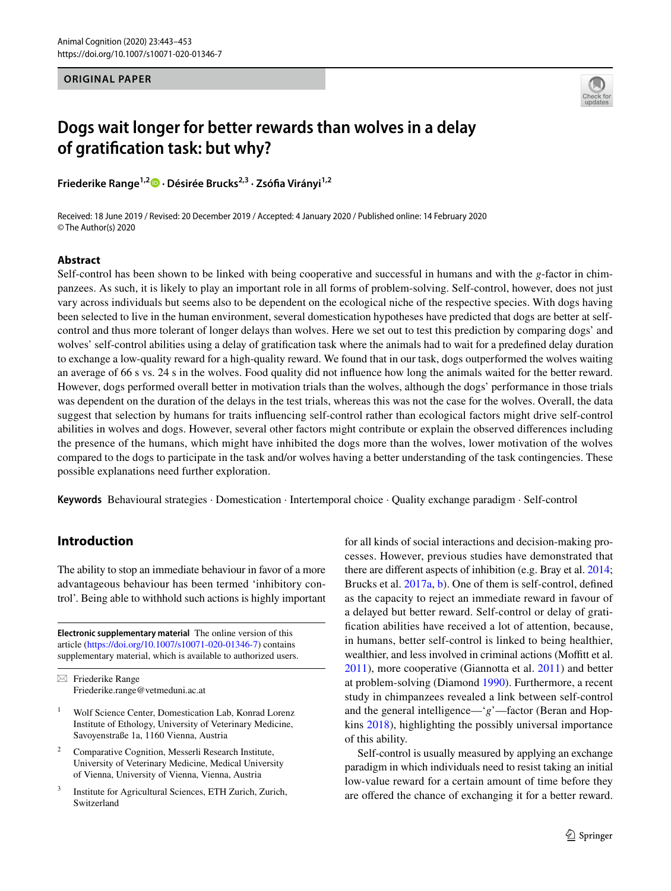**ORIGINAL PAPER**



# **Dogs wait longer for better rewards than wolves in a delay of gratifcation task: but why?**

**Friederike Range1,2  [·](http://orcid.org/0000-0003-3127-5536) Désirée Brucks2,3 · Zsófa Virányi1,2**

Received: 18 June 2019 / Revised: 20 December 2019 / Accepted: 4 January 2020 / Published online: 14 February 2020 © The Author(s) 2020

#### **Abstract**

Self-control has been shown to be linked with being cooperative and successful in humans and with the *g*-factor in chimpanzees. As such, it is likely to play an important role in all forms of problem-solving. Self-control, however, does not just vary across individuals but seems also to be dependent on the ecological niche of the respective species. With dogs having been selected to live in the human environment, several domestication hypotheses have predicted that dogs are better at selfcontrol and thus more tolerant of longer delays than wolves. Here we set out to test this prediction by comparing dogs' and wolves' self-control abilities using a delay of gratifcation task where the animals had to wait for a predefned delay duration to exchange a low-quality reward for a high-quality reward. We found that in our task, dogs outperformed the wolves waiting an average of 66 s vs. 24 s in the wolves. Food quality did not infuence how long the animals waited for the better reward. However, dogs performed overall better in motivation trials than the wolves, although the dogs' performance in those trials was dependent on the duration of the delays in the test trials, whereas this was not the case for the wolves. Overall, the data suggest that selection by humans for traits infuencing self-control rather than ecological factors might drive self-control abilities in wolves and dogs. However, several other factors might contribute or explain the observed diferences including the presence of the humans, which might have inhibited the dogs more than the wolves, lower motivation of the wolves compared to the dogs to participate in the task and/or wolves having a better understanding of the task contingencies. These possible explanations need further exploration.

**Keywords** Behavioural strategies · Domestication · Intertemporal choice · Quality exchange paradigm · Self-control

# **Introduction**

The ability to stop an immediate behaviour in favor of a more advantageous behaviour has been termed 'inhibitory control'. Being able to withhold such actions is highly important

**Electronic supplementary material** The online version of this article [\(https://doi.org/10.1007/s10071-020-01346-7\)](https://doi.org/10.1007/s10071-020-01346-7) contains supplementary material, which is available to authorized users.

 $\boxtimes$  Friederike Range Friederike.range@vetmeduni.ac.at

- <sup>1</sup> Wolf Science Center, Domestication Lab, Konrad Lorenz Institute of Ethology, University of Veterinary Medicine, Savoyenstraße 1a, 1160 Vienna, Austria
- <sup>2</sup> Comparative Cognition, Messerli Research Institute, University of Veterinary Medicine, Medical University of Vienna, University of Vienna, Vienna, Austria
- <sup>3</sup> Institute for Agricultural Sciences, ETH Zurich, Zurich, Switzerland

for all kinds of social interactions and decision-making processes. However, previous studies have demonstrated that there are diferent aspects of inhibition (e.g. Bray et al. [2014](#page-10-0); Brucks et al. [2017a,](#page-10-1) [b](#page-11-0)). One of them is self-control, defned as the capacity to reject an immediate reward in favour of a delayed but better reward. Self-control or delay of gratifcation abilities have received a lot of attention, because, in humans, better self-control is linked to being healthier, wealthier, and less involved in criminal actions (Moffitt et al. [2011](#page-11-1)), more cooperative (Giannotta et al. [2011\)](#page-11-2) and better at problem-solving (Diamond [1990](#page-11-3)). Furthermore, a recent study in chimpanzees revealed a link between self-control and the general intelligence—'*g*'—factor (Beran and Hopkins [2018](#page-10-2)), highlighting the possibly universal importance of this ability.

Self-control is usually measured by applying an exchange paradigm in which individuals need to resist taking an initial low-value reward for a certain amount of time before they are offered the chance of exchanging it for a better reward.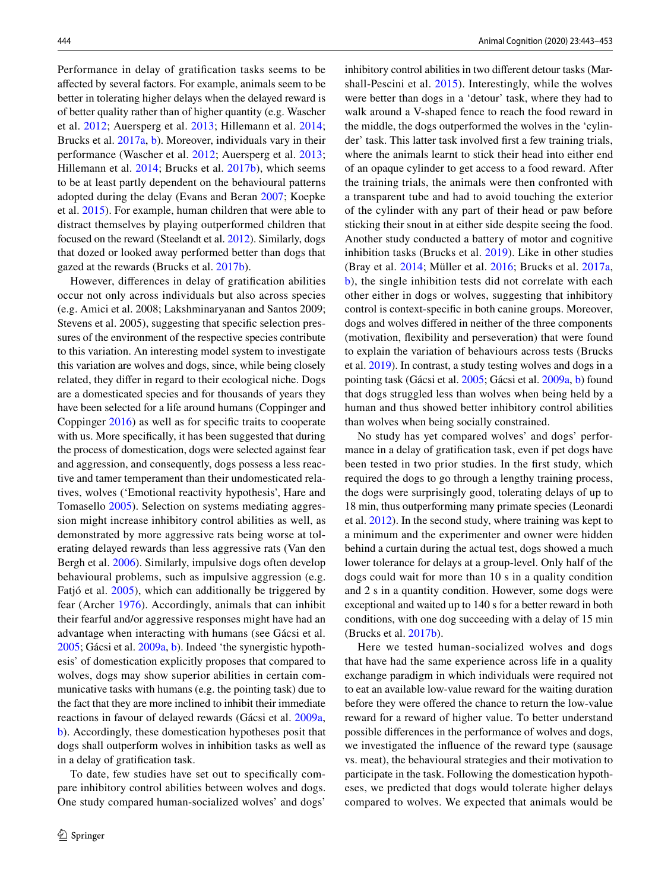Performance in delay of gratifcation tasks seems to be afected by several factors. For example, animals seem to be better in tolerating higher delays when the delayed reward is of better quality rather than of higher quantity (e.g. Wascher et al. [2012;](#page-11-4) Auersperg et al. [2013](#page-10-3); Hillemann et al. [2014](#page-11-5); Brucks et al. [2017a](#page-10-1), [b](#page-11-0)). Moreover, individuals vary in their performance (Wascher et al. [2012](#page-11-4); Auersperg et al. [2013](#page-10-3); Hillemann et al. [2014;](#page-11-5) Brucks et al. [2017b](#page-11-0)), which seems to be at least partly dependent on the behavioural patterns adopted during the delay (Evans and Beran [2007;](#page-11-6) Koepke et al. [2015](#page-11-7)). For example, human children that were able to distract themselves by playing outperformed children that focused on the reward (Steelandt et al. [2012\)](#page-11-8). Similarly, dogs that dozed or looked away performed better than dogs that gazed at the rewards (Brucks et al. [2017b](#page-11-0)).

However, diferences in delay of gratifcation abilities occur not only across individuals but also across species (e.g. Amici et al. 2008; Lakshminaryanan and Santos 2009; Stevens et al. 2005), suggesting that specifc selection pressures of the environment of the respective species contribute to this variation. An interesting model system to investigate this variation are wolves and dogs, since, while being closely related, they difer in regard to their ecological niche. Dogs are a domesticated species and for thousands of years they have been selected for a life around humans (Coppinger and Coppinger [2016](#page-11-9)) as well as for specifc traits to cooperate with us. More specifcally, it has been suggested that during the process of domestication, dogs were selected against fear and aggression, and consequently, dogs possess a less reactive and tamer temperament than their undomesticated relatives, wolves ('Emotional reactivity hypothesis', Hare and Tomasello [2005](#page-11-10)). Selection on systems mediating aggression might increase inhibitory control abilities as well, as demonstrated by more aggressive rats being worse at tolerating delayed rewards than less aggressive rats (Van den Bergh et al. [2006](#page-11-11)). Similarly, impulsive dogs often develop behavioural problems, such as impulsive aggression (e.g. Fatjó et al. [2005](#page-11-12)), which can additionally be triggered by fear (Archer [1976](#page-10-4)). Accordingly, animals that can inhibit their fearful and/or aggressive responses might have had an advantage when interacting with humans (see Gácsi et al. [2005](#page-11-13); Gácsi et al. [2009a](#page-11-14), [b](#page-11-15)). Indeed 'the synergistic hypothesis' of domestication explicitly proposes that compared to wolves, dogs may show superior abilities in certain communicative tasks with humans (e.g. the pointing task) due to the fact that they are more inclined to inhibit their immediate reactions in favour of delayed rewards (Gácsi et al. [2009a,](#page-11-14) [b](#page-11-15)). Accordingly, these domestication hypotheses posit that dogs shall outperform wolves in inhibition tasks as well as in a delay of gratifcation task.

To date, few studies have set out to specifcally compare inhibitory control abilities between wolves and dogs. One study compared human-socialized wolves' and dogs' inhibitory control abilities in two diferent detour tasks (Marshall-Pescini et al. [2015\)](#page-11-16). Interestingly, while the wolves were better than dogs in a 'detour' task, where they had to walk around a V-shaped fence to reach the food reward in the middle, the dogs outperformed the wolves in the 'cylinder' task. This latter task involved frst a few training trials, where the animals learnt to stick their head into either end of an opaque cylinder to get access to a food reward. After the training trials, the animals were then confronted with a transparent tube and had to avoid touching the exterior of the cylinder with any part of their head or paw before sticking their snout in at either side despite seeing the food. Another study conducted a battery of motor and cognitive inhibition tasks (Brucks et al. [2019](#page-11-17)). Like in other studies (Bray et al. [2014;](#page-10-0) Müller et al. [2016;](#page-11-18) Brucks et al. [2017a,](#page-10-1) [b](#page-11-0)), the single inhibition tests did not correlate with each other either in dogs or wolves, suggesting that inhibitory control is context-specifc in both canine groups. Moreover, dogs and wolves difered in neither of the three components (motivation, fexibility and perseveration) that were found to explain the variation of behaviours across tests (Brucks et al. [2019\)](#page-11-17). In contrast, a study testing wolves and dogs in a pointing task (Gácsi et al. [2005;](#page-11-13) Gácsi et al. [2009a,](#page-11-14) [b\)](#page-11-15) found that dogs struggled less than wolves when being held by a human and thus showed better inhibitory control abilities than wolves when being socially constrained.

No study has yet compared wolves' and dogs' performance in a delay of gratifcation task, even if pet dogs have been tested in two prior studies. In the frst study, which required the dogs to go through a lengthy training process, the dogs were surprisingly good, tolerating delays of up to 18 min, thus outperforming many primate species (Leonardi et al. [2012](#page-11-19)). In the second study, where training was kept to a minimum and the experimenter and owner were hidden behind a curtain during the actual test, dogs showed a much lower tolerance for delays at a group-level. Only half of the dogs could wait for more than 10 s in a quality condition and 2 s in a quantity condition. However, some dogs were exceptional and waited up to 140 s for a better reward in both conditions, with one dog succeeding with a delay of 15 min (Brucks et al. [2017b\)](#page-11-0).

Here we tested human-socialized wolves and dogs that have had the same experience across life in a quality exchange paradigm in which individuals were required not to eat an available low-value reward for the waiting duration before they were offered the chance to return the low-value reward for a reward of higher value. To better understand possible diferences in the performance of wolves and dogs, we investigated the infuence of the reward type (sausage vs. meat), the behavioural strategies and their motivation to participate in the task. Following the domestication hypotheses, we predicted that dogs would tolerate higher delays compared to wolves. We expected that animals would be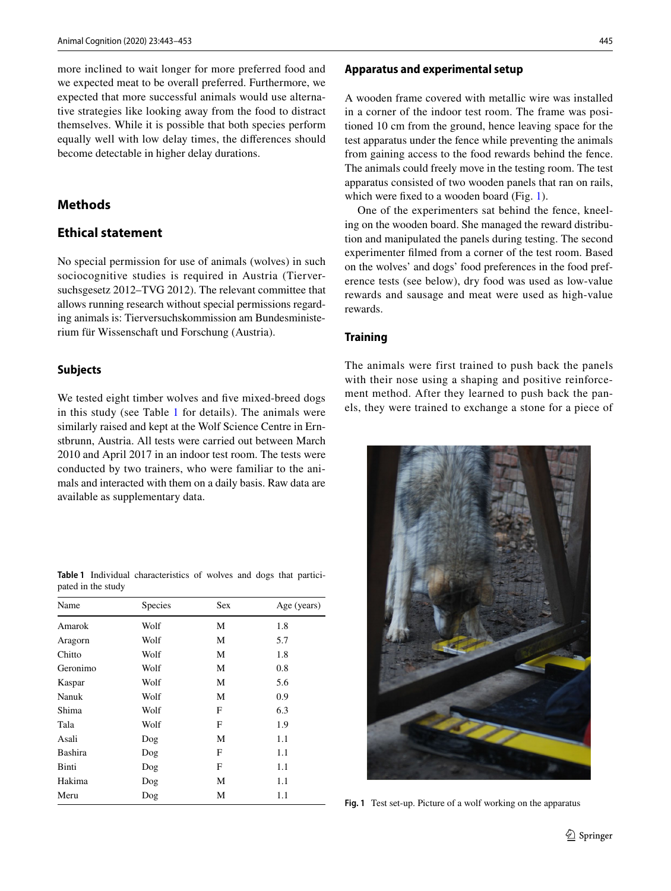more inclined to wait longer for more preferred food and we expected meat to be overall preferred. Furthermore, we expected that more successful animals would use alternative strategies like looking away from the food to distract themselves. While it is possible that both species perform equally well with low delay times, the diferences should become detectable in higher delay durations.

# **Methods**

# **Ethical statement**

No special permission for use of animals (wolves) in such sociocognitive studies is required in Austria (Tierversuchsgesetz 2012–TVG 2012). The relevant committee that allows running research without special permissions regarding animals is: Tierversuchskommission am Bundesministerium für Wissenschaft und Forschung (Austria).

#### **Subjects**

We tested eight timber wolves and five mixed-breed dogs in this study (see Table [1](#page-3-0) for details). The animals were similarly raised and kept at the Wolf Science Centre in Ernstbrunn, Austria. All tests were carried out between March 2010 and April 2017 in an indoor test room. The tests were conducted by two trainers, who were familiar to the animals and interacted with them on a daily basis. Raw data are available as supplementary data.

<span id="page-3-0"></span>**Table 1** Individual characteristics of wolves and dogs that participated in the study

<span id="page-3-1"></span>

| Species | Sex | Age (years) |
|---------|-----|-------------|
| Wolf    | М   | 1.8         |
| Wolf    | М   | 5.7         |
| Wolf    | М   | 1.8         |
| Wolf    | М   | 0.8         |
| Wolf    | М   | 5.6         |
| Wolf    | М   | 0.9         |
| Wolf    | F   | 6.3         |
| Wolf    | F   | 1.9         |
| Dog     | М   | 1.1         |
| Dog     | F   | 1.1         |
| Dog     | F   | 1.1         |
| Dog     | М   | 1.1         |
| Dog     | М   | 1.1         |
|         |     |             |

#### **Apparatus and experimental setup**

A wooden frame covered with metallic wire was installed in a corner of the indoor test room. The frame was positioned 10 cm from the ground, hence leaving space for the test apparatus under the fence while preventing the animals from gaining access to the food rewards behind the fence. The animals could freely move in the testing room. The test apparatus consisted of two wooden panels that ran on rails, which were fixed to a wooden board (Fig. [1\)](#page-3-1).

One of the experimenters sat behind the fence, kneeling on the wooden board. She managed the reward distribution and manipulated the panels during testing. The second experimenter flmed from a corner of the test room. Based on the wolves' and dogs' food preferences in the food preference tests (see below), dry food was used as low-value rewards and sausage and meat were used as high-value rewards.

#### **Training**

The animals were first trained to push back the panels with their nose using a shaping and positive reinforcement method. After they learned to push back the panels, they were trained to exchange a stone for a piece of



**Fig. 1** Test set-up. Picture of a wolf working on the apparatus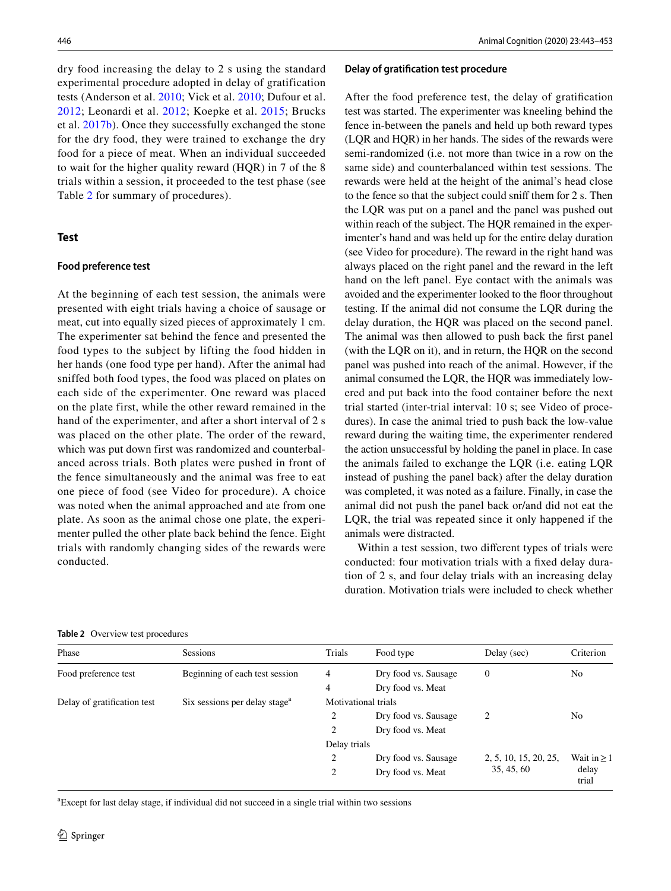dry food increasing the delay to 2 s using the standard experimental procedure adopted in delay of gratification tests (Anderson et al. [2010](#page-10-5); Vick et al. [2010;](#page-11-20) Dufour et al. [2012](#page-11-21); Leonardi et al. [2012;](#page-11-19) Koepke et al. [2015](#page-11-7); Brucks et al. [2017b\)](#page-11-0). Once they successfully exchanged the stone for the dry food, they were trained to exchange the dry food for a piece of meat. When an individual succeeded to wait for the higher quality reward (HQR) in 7 of the 8 trials within a session, it proceeded to the test phase (see Table [2](#page-4-0) for summary of procedures).

#### **Test**

#### **Food preference test**

At the beginning of each test session, the animals were presented with eight trials having a choice of sausage or meat, cut into equally sized pieces of approximately 1 cm. The experimenter sat behind the fence and presented the food types to the subject by lifting the food hidden in her hands (one food type per hand). After the animal had sniffed both food types, the food was placed on plates on each side of the experimenter. One reward was placed on the plate first, while the other reward remained in the hand of the experimenter, and after a short interval of 2 s was placed on the other plate. The order of the reward, which was put down first was randomized and counterbalanced across trials. Both plates were pushed in front of the fence simultaneously and the animal was free to eat one piece of food (see Video for procedure). A choice was noted when the animal approached and ate from one plate. As soon as the animal chose one plate, the experimenter pulled the other plate back behind the fence. Eight trials with randomly changing sides of the rewards were conducted.

## **Delay of gratifcation test procedure**

After the food preference test, the delay of gratifcation test was started. The experimenter was kneeling behind the fence in-between the panels and held up both reward types (LQR and HQR) in her hands. The sides of the rewards were semi-randomized (i.e. not more than twice in a row on the same side) and counterbalanced within test sessions. The rewards were held at the height of the animal's head close to the fence so that the subject could sniff them for 2 s. Then the LQR was put on a panel and the panel was pushed out within reach of the subject. The HQR remained in the experimenter's hand and was held up for the entire delay duration (see Video for procedure). The reward in the right hand was always placed on the right panel and the reward in the left hand on the left panel. Eye contact with the animals was avoided and the experimenter looked to the floor throughout testing. If the animal did not consume the LQR during the delay duration, the HQR was placed on the second panel. The animal was then allowed to push back the frst panel (with the LQR on it), and in return, the HQR on the second panel was pushed into reach of the animal. However, if the animal consumed the LQR, the HQR was immediately lowered and put back into the food container before the next trial started (inter-trial interval: 10 s; see Video of procedures). In case the animal tried to push back the low-value reward during the waiting time, the experimenter rendered the action unsuccessful by holding the panel in place. In case the animals failed to exchange the LQR (i.e. eating LQR instead of pushing the panel back) after the delay duration was completed, it was noted as a failure. Finally, in case the animal did not push the panel back or/and did not eat the LQR, the trial was repeated since it only happened if the animals were distracted.

Within a test session, two diferent types of trials were conducted: four motivation trials with a fxed delay duration of 2 s, and four delay trials with an increasing delay duration. Motivation trials were included to check whether

<span id="page-4-0"></span>

| Table 2 Overview test procedures |
|----------------------------------|
|                                  |

| Phase                       | <b>Sessions</b>                           | Trials              | Food type            | Delay (sec)           | Criterion        |  |  |
|-----------------------------|-------------------------------------------|---------------------|----------------------|-----------------------|------------------|--|--|
| Food preference test        | Beginning of each test session            | 4                   | Dry food vs. Sausage | $\overline{0}$        | No               |  |  |
|                             |                                           | 4                   | Dry food vs. Meat    |                       |                  |  |  |
| Delay of gratification test | Six sessions per delay stage <sup>a</sup> | Motivational trials |                      |                       |                  |  |  |
|                             |                                           | 2                   | Dry food vs. Sausage | 2                     | No               |  |  |
|                             |                                           | 2                   | Dry food vs. Meat    |                       |                  |  |  |
|                             |                                           | Delay trials        |                      |                       |                  |  |  |
|                             |                                           | $\overline{c}$      | Dry food vs. Sausage | 2, 5, 10, 15, 20, 25, | Wait in $\geq 1$ |  |  |
|                             |                                           | 2                   | Dry food vs. Meat    | 35, 45, 60            | delay<br>trial   |  |  |

a Except for last delay stage, if individual did not succeed in a single trial within two sessions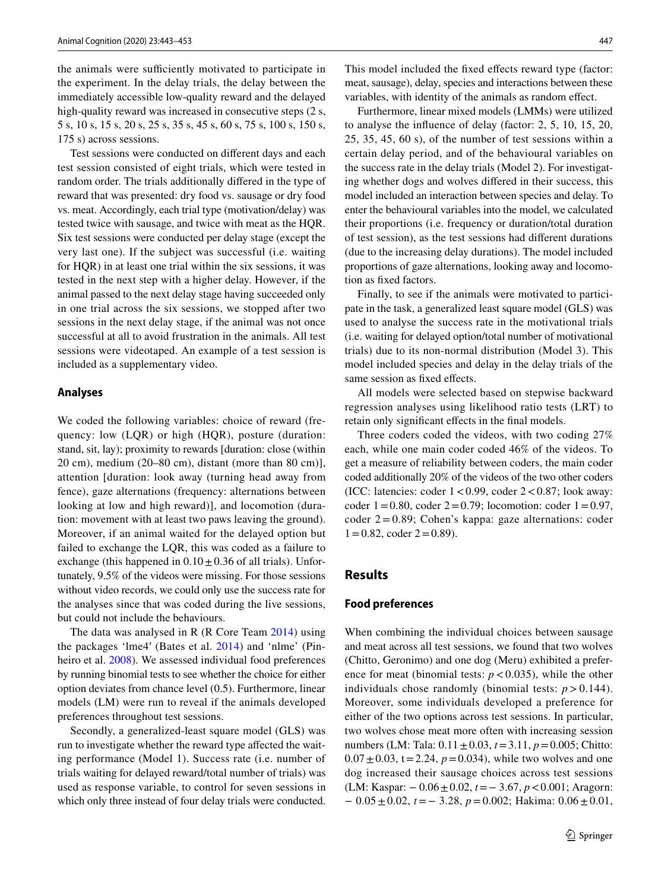the animals were sufficiently motivated to participate in the experiment. In the delay trials, the delay between the immediately accessible low-quality reward and the delayed high-quality reward was increased in consecutive steps  $(2 s, ...)$ 5 s, 10 s, 15 s, 20 s, 25 s, 35 s, 45 s, 60 s, 75 s, 100 s, 150 s, 175 s) across sessions.

Test sessions were conducted on diferent days and each test session consisted of eight trials, which were tested in random order. The trials additionally difered in the type of reward that was presented: dry food vs. sausage or dry food vs. meat. Accordingly, each trial type (motivation/delay) was tested twice with sausage, and twice with meat as the HQR. Six test sessions were conducted per delay stage (except the very last one). If the subject was successful (i.e. waiting for HQR) in at least one trial within the six sessions, it was tested in the next step with a higher delay. However, if the animal passed to the next delay stage having succeeded only in one trial across the six sessions, we stopped after two sessions in the next delay stage, if the animal was not once successful at all to avoid frustration in the animals. All test sessions were videotaped. An example of a test session is included as a supplementary video.

#### **Analyses**

We coded the following variables: choice of reward (frequency: low (LQR) or high (HQR), posture (duration: stand, sit, lay); proximity to rewards [duration: close (within 20 cm), medium (20–80 cm), distant (more than 80 cm)], attention [duration: look away (turning head away from fence), gaze alternations (frequency: alternations between looking at low and high reward)], and locomotion (duration: movement with at least two paws leaving the ground). Moreover, if an animal waited for the delayed option but failed to exchange the LQR, this was coded as a failure to exchange (this happened in  $0.10 \pm 0.36$  of all trials). Unfortunately, 9.5% of the videos were missing. For those sessions without video records, we could only use the success rate for the analyses since that was coded during the live sessions, but could not include the behaviours.

The data was analysed in R (R Core Team [2014\)](#page-11-22) using the packages 'lme4′ (Bates et al. [2014\)](#page-10-6) and 'nlme' (Pinheiro et al. [2008\)](#page-11-23). We assessed individual food preferences by running binomial tests to see whether the choice for either option deviates from chance level (0.5). Furthermore, linear models (LM) were run to reveal if the animals developed preferences throughout test sessions.

Secondly, a generalized-least square model (GLS) was run to investigate whether the reward type afected the waiting performance (Model 1). Success rate (i.e. number of trials waiting for delayed reward/total number of trials) was used as response variable, to control for seven sessions in which only three instead of four delay trials were conducted. This model included the fxed efects reward type (factor: meat, sausage), delay, species and interactions between these variables, with identity of the animals as random efect.

Furthermore, linear mixed models (LMMs) were utilized to analyse the infuence of delay (factor: 2, 5, 10, 15, 20, 25, 35, 45, 60 s), of the number of test sessions within a certain delay period, and of the behavioural variables on the success rate in the delay trials (Model 2). For investigating whether dogs and wolves difered in their success, this model included an interaction between species and delay. To enter the behavioural variables into the model, we calculated their proportions (i.e. frequency or duration/total duration of test session), as the test sessions had diferent durations (due to the increasing delay durations). The model included proportions of gaze alternations, looking away and locomotion as fxed factors.

Finally, to see if the animals were motivated to participate in the task, a generalized least square model (GLS) was used to analyse the success rate in the motivational trials (i.e. waiting for delayed option/total number of motivational trials) due to its non-normal distribution (Model 3). This model included species and delay in the delay trials of the same session as fxed efects.

All models were selected based on stepwise backward regression analyses using likelihood ratio tests (LRT) to retain only signifcant efects in the fnal models.

Three coders coded the videos, with two coding 27% each, while one main coder coded 46% of the videos. To get a measure of reliability between coders, the main coder coded additionally 20% of the videos of the two other coders (ICC: latencies: coder  $1 < 0.99$ , coder  $2 < 0.87$ ; look away: coder  $1 = 0.80$ , coder  $2 = 0.79$ ; locomotion: coder  $1 = 0.97$ , coder 2=0.89; Cohen's kappa: gaze alternations: coder  $1=0.82$ , coder  $2=0.89$ ).

#### **Results**

#### **Food preferences**

When combining the individual choices between sausage and meat across all test sessions, we found that two wolves (Chitto, Geronimo) and one dog (Meru) exhibited a preference for meat (binomial tests:  $p < 0.035$ ), while the other individuals chose randomly (binomial tests:  $p > 0.144$ ). Moreover, some individuals developed a preference for either of the two options across test sessions. In particular, two wolves chose meat more often with increasing session numbers (LM: Tala: 0.11±0.03, *t*=3.11, *p*=0.005; Chitto:  $0.07 \pm 0.03$ , t = 2.24,  $p = 0.034$ ), while two wolves and one dog increased their sausage choices across test sessions (LM: Kaspar: − 0.06±0.02, *t*=− 3.67, *p*<0.001; Aragorn: − 0.05±0.02, *t*=− 3.28, *p*=0.002; Hakima: 0.06±0.01,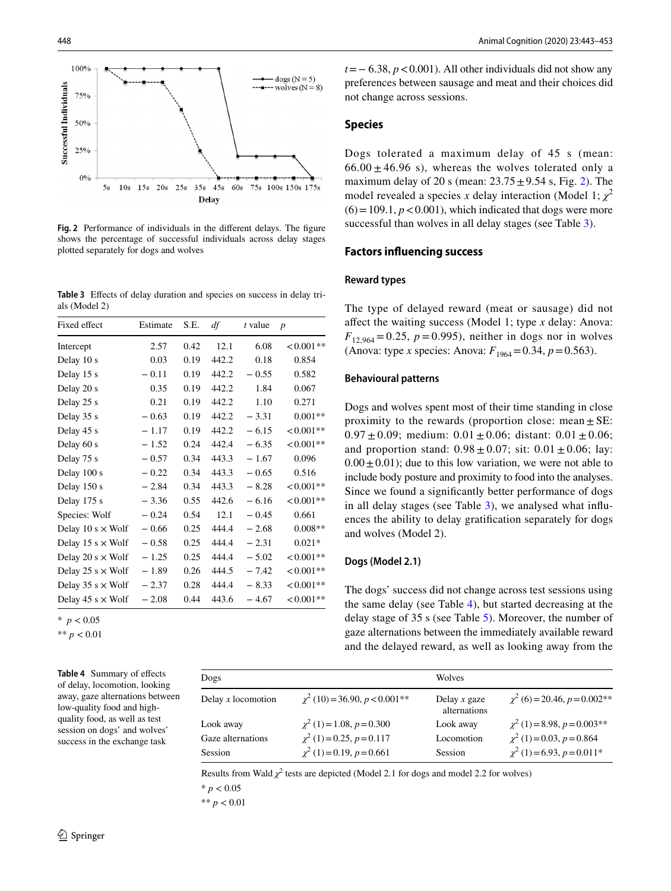

<span id="page-6-0"></span>**Fig. 2** Performance of individuals in the diferent delays. The fgure shows the percentage of successful individuals across delay stages plotted separately for dogs and wolves

<span id="page-6-1"></span>Table 3 Effects of delay duration and species on success in delay trials (Model 2)

| Fixed effect             | Estimate | S.E. | df    | t value | $\boldsymbol{p}$ |
|--------------------------|----------|------|-------|---------|------------------|
| Intercept                | 2.57     | 0.42 | 12.1  | 6.08    | $< 0.001**$      |
| Delay 10 s               | 0.03     | 0.19 | 442.2 | 0.18    | 0.854            |
| Delay 15 s               | $-0.11$  | 0.19 | 442.2 | $-0.55$ | 0.582            |
| Delay 20 s               | 0.35     | 0.19 | 442.2 | 1.84    | 0.067            |
| Delay 25 s               | 0.21     | 0.19 | 442.2 | 1.10    | 0.271            |
| Delay 35 s               | $-0.63$  | 0.19 | 442.2 | $-3.31$ | $0.001**$        |
| Delay 45 s               | $-1.17$  | 0.19 | 442.2 | $-6.15$ | $< 0.001**$      |
| Delay 60 s               | $-1.52$  | 0.24 | 442.4 | $-6.35$ | $< 0.001**$      |
| Delay 75 s               | $-0.57$  | 0.34 | 443.3 | $-1.67$ | 0.096            |
| Delay 100 s              | $-0.22$  | 0.34 | 443.3 | $-0.65$ | 0.516            |
| Delay 150 s              | $-2.84$  | 0.34 | 443.3 | $-8.28$ | $< 0.001**$      |
| Delay 175 s              | $-3.36$  | 0.55 | 442.6 | $-6.16$ | $< 0.001**$      |
| Species: Wolf            | $-0.24$  | 0.54 | 12.1  | $-0.45$ | 0.661            |
| Delay 10 s $\times$ Wolf | $-0.66$  | 0.25 | 444.4 | $-2.68$ | $0.008**$        |
| Delay 15 s $\times$ Wolf | $-0.58$  | 0.25 | 444.4 | $-2.31$ | $0.021*$         |
| Delay 20 s $\times$ Wolf | $-1.25$  | 0.25 | 444.4 | $-5.02$ | $< 0.001**$      |
| Delay 25 s $\times$ Wolf | $-1.89$  | 0.26 | 444.5 | $-7.42$ | $< 0.001**$      |
| Delay 35 s $\times$ Wolf | $-2.37$  | 0.28 | 444.4 | $-8.33$ | $< 0.001**$      |
| Delay 45 s $\times$ Wolf | $-2.08$  | 0.44 | 443.6 | $-4.67$ | $< 0.001**$      |

 $*$  *p* < 0.05

\*\* *p* < 0.01

<span id="page-6-2"></span>**Table 4** Summary of efects of delay, locomotion, looking away, gaze alternations between low-quality food and highquality food, as well as test session on dogs' and wolves' success in the exchange task

*t*=− 6.38, *p* < 0.001). All other individuals did not show any preferences between sausage and meat and their choices did not change across sessions.

#### **Species**

Dogs tolerated a maximum delay of 45 s (mean:  $66.00 \pm 46.96$  s), whereas the wolves tolerated only a maximum delay of [2](#page-6-0)0 s (mean:  $23.75 \pm 9.54$  s, Fig. 2). The model revealed a species *x* delay interaction (Model 1;  $\chi^2$  $(6) = 109.1$ ,  $p < 0.001$ ), which indicated that dogs were more successful than wolves in all delay stages (see Table [3](#page-6-1)).

#### **Factors infuencing success**

#### **Reward types**

The type of delayed reward (meat or sausage) did not afect the waiting success (Model 1; type *x* delay: Anova:  $F_{12,964} = 0.25$ ,  $p = 0.995$ ), neither in dogs nor in wolves (Anova: type *x* species: Anova:  $F_{1964} = 0.34$ ,  $p = 0.563$ ).

#### **Behavioural patterns**

Dogs and wolves spent most of their time standing in close proximity to the rewards (proportion close: mean  $\pm$  SE:  $0.97 \pm 0.09$ ; medium:  $0.01 \pm 0.06$ ; distant:  $0.01 \pm 0.06$ ; and proportion stand:  $0.98 \pm 0.07$ ; sit:  $0.01 \pm 0.06$ ; lay:  $0.00 \pm 0.01$ ; due to this low variation, we were not able to include body posture and proximity to food into the analyses. Since we found a signifcantly better performance of dogs in all delay stages (see Table [3\)](#page-6-1), we analysed what infuences the ability to delay gratifcation separately for dogs and wolves (Model 2).

#### **Dogs (Model 2.1)**

The dogs' success did not change across test sessions using the same delay (see Table [4\)](#page-6-2), but started decreasing at the delay stage of 35 s (see Table [5\)](#page-7-0). Moreover, the number of gaze alternations between the immediately available reward and the delayed reward, as well as looking away from the

| Dogs                 |                                    | Wolves                         |                                   |
|----------------------|------------------------------------|--------------------------------|-----------------------------------|
| Delay $x$ locomotion | $\chi^2$ (10) = 36.90, p < 0.001** | Delay $x$ gaze<br>alternations | $\chi^2$ (6) = 20.46, p = 0.002** |
| Look away            | $\chi^2$ (1) = 1.08, p = 0.300     | Look away                      | $\chi^2$ (1) = 8.98, p = 0.003**  |
| Gaze alternations    | $\chi^2$ (1) = 0.25, p = 0.117     | Locomotion                     | $\chi^2$ (1)=0.03, p=0.864        |
| <b>Session</b>       | $\chi^2$ (1) = 0.19, p = 0.661     | <b>Session</b>                 | $\chi^2$ (1)=6.93, p=0.011*       |

Results from Wald  $\chi^2$  tests are depicted (Model 2.1 for dogs and model 2.2 for wolves)

 $* p < 0.05$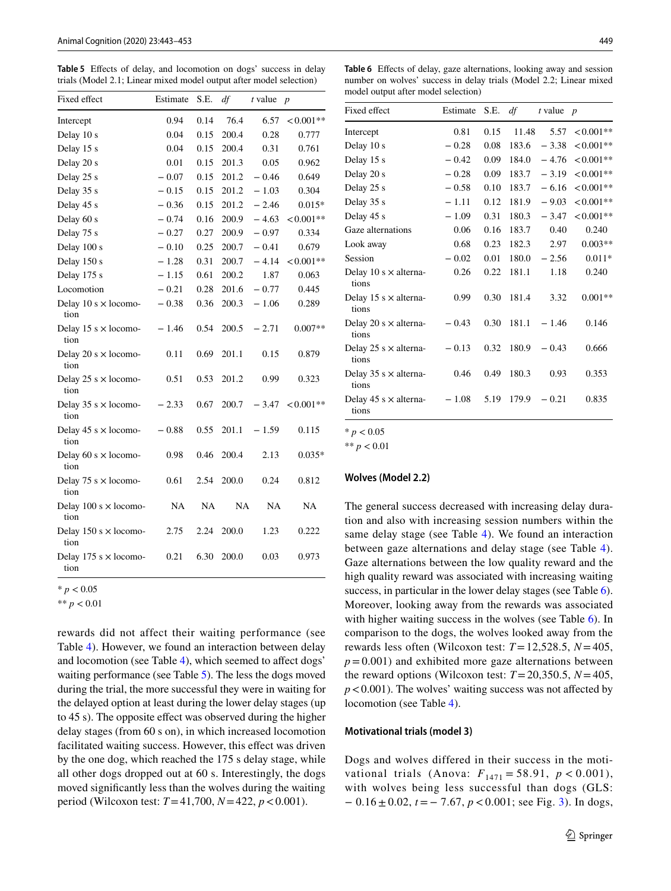<span id="page-7-0"></span>**Table 5** Efects of delay, and locomotion on dogs' success in delay trials (Model 2.1; Linear mixed model output after model selection)

| Fixed effect                         | Estimate  | S.E. | df    | $t$ value | $\boldsymbol{p}$ |
|--------------------------------------|-----------|------|-------|-----------|------------------|
| Intercept                            | 0.94      | 0.14 | 76.4  | 6.57      | $<0.001**$       |
| Delay 10 s                           | 0.04      | 0.15 | 200.4 | 0.28      | 0.777            |
| Delay 15 s                           | 0.04      | 0.15 | 200.4 | 0.31      | 0.761            |
| Delay 20 s                           | 0.01      | 0.15 | 201.3 | 0.05      | 0.962            |
| Delay 25 s                           | $-0.07$   | 0.15 | 201.2 | $-0.46$   | 0.649            |
| Delay 35 s                           | $-0.15$   | 0.15 | 201.2 | $-1.03$   | 0.304            |
| Delay 45 s                           | $-0.36$   | 0.15 | 201.2 | $-2.46$   | $0.015*$         |
| Delay 60 s                           | $-0.74$   | 0.16 | 200.9 | $-4.63$   | $< 0.001**$      |
| Delay 75 s                           | $-0.27$   | 0.27 | 200.9 | $-0.97$   | 0.334            |
| Delay 100 s                          | $-0.10$   | 0.25 | 200.7 | $-0.41$   | 0.679            |
| Delay 150 s                          | $-1.28$   | 0.31 | 200.7 | $-4.14$   | $< 0.001**$      |
| Delay 175 s                          | $-1.15$   | 0.61 | 200.2 | 1.87      | 0.063            |
| Locomotion                           | $-0.21$   | 0.28 | 201.6 | $-0.77$   | 0.445            |
| Delay 10 s $\times$ locomo-<br>tion  | $-0.38$   | 0.36 | 200.3 | $-1.06$   | 0.289            |
| Delay 15 s $\times$ locomo-<br>tion  | $-1.46$   | 0.54 | 200.5 | $-2.71$   | $0.007**$        |
| Delay 20 s $\times$ locomo-<br>tion  | 0.11      | 0.69 | 201.1 | 0.15      | 0.879            |
| Delay 25 s $\times$ locomo-<br>tion  | 0.51      | 0.53 | 201.2 | 0.99      | 0.323            |
| Delay 35 s $\times$ locomo-<br>tion  | $-2.33$   | 0.67 | 200.7 | $-3.47$   | $< 0.001**$      |
| Delay 45 s $\times$ locomo-<br>tion  | $-0.88$   | 0.55 | 201.1 | $-1.59$   | 0.115            |
| Delay 60 s $\times$ locomo-<br>tion  | 0.98      | 0.46 | 200.4 | 2.13      | $0.035*$         |
| Delay 75 s $\times$ locomo-<br>tion  | 0.61      | 2.54 | 200.0 | 0.24      | 0.812            |
| Delay $100 s \times$ locomo-<br>tion | <b>NA</b> | NA   | NA    | NA        | NA               |
| Delay 150 s $\times$ locomo-<br>tion | 2.75      | 2.24 | 200.0 | 1.23      | 0.222            |
| Delay 175 s $\times$ locomo-<br>tion | 0.21      | 6.30 | 200.0 | 0.03      | 0.973            |

 $* p < 0.05$ 

\*\* *p* < 0.01

rewards did not affect their waiting performance (see Table [4\)](#page-6-2). However, we found an interaction between delay and locomotion (see Table [4\)](#page-6-2), which seemed to afect dogs' waiting performance (see Table [5\)](#page-7-0). The less the dogs moved during the trial, the more successful they were in waiting for the delayed option at least during the lower delay stages (up to 45 s). The opposite effect was observed during the higher delay stages (from 60 s on), in which increased locomotion facilitated waiting success. However, this effect was driven by the one dog, which reached the 175 s delay stage, while all other dogs dropped out at 60 s. Interestingly, the dogs moved signifcantly less than the wolves during the waiting period (Wilcoxon test: *T*=41,700, *N*=422, *p*<0.001).

<span id="page-7-1"></span>**Table 6** Efects of delay, gaze alternations, looking away and session number on wolves' success in delay trials (Model 2.2; Linear mixed model output after model selection)

| Fixed effect                          | Estimate | S.E. $df$ |       | t value | $\overline{p}$ |
|---------------------------------------|----------|-----------|-------|---------|----------------|
| Intercept                             | 0.81     | 0.15      | 11.48 | 5.57    | $< 0.001**$    |
| Delay 10 s                            | $-0.28$  | 0.08      | 183.6 | $-3.38$ | $< 0.001**$    |
| Delay 15 s                            | $-0.42$  | 0.09      | 184.0 | $-4.76$ | $< 0.001**$    |
| Delay 20 s                            | $-0.28$  | 0.09      | 183.7 | $-3.19$ | $<0.001**$     |
| Delay 25 s                            | $-0.58$  | 0.10      | 183.7 | $-6.16$ | $< 0.001**$    |
| Delay 35 s                            | $-1.11$  | 0.12      | 181.9 | $-9.03$ | $< 0.001**$    |
| Delay 45 s                            | $-1.09$  | 0.31      | 180.3 | $-3.47$ | $< 0.001**$    |
| Gaze alternations                     | 0.06     | 0.16      | 183.7 | 0.40    | 0.240          |
| Look away                             | 0.68     | 0.23      | 182.3 | 2.97    | $0.003**$      |
| Session                               | $-0.02$  | 0.01      | 180.0 | $-2.56$ | $0.011*$       |
| Delay 10 s $\times$ alterna-<br>tions | 0.26     | 0.22      | 181.1 | 1.18    | 0.240          |
| Delay 15 s $\times$ alterna-<br>tions | 0.99     | 0.30      | 181.4 | 3.32    | $0.001**$      |
| Delay 20 s $\times$ alterna-<br>tions | $-0.43$  | 0.30      | 181.1 | $-1.46$ | 0.146          |
| Delay 25 s $\times$ alterna-<br>tions | $-0.13$  | 0.32      | 180.9 | $-0.43$ | 0.666          |
| Delay 35 s $\times$ alterna-<br>tions | 0.46     | 0.49      | 180.3 | 0.93    | 0.353          |
| Delay 45 s $\times$ alterna-<br>tions | $-1.08$  | 5.19      | 179.9 | $-0.21$ | 0.835          |

 $* p < 0.05$ 

\*\* *p* < 0.01

#### **Wolves (Model 2.2)**

The general success decreased with increasing delay duration and also with increasing session numbers within the same delay stage (see Table [4\)](#page-6-2). We found an interaction between gaze alternations and delay stage (see Table [4](#page-6-2)). Gaze alternations between the low quality reward and the high quality reward was associated with increasing waiting success, in particular in the lower delay stages (see Table [6](#page-7-1)). Moreover, looking away from the rewards was associated with higher waiting success in the wolves (see Table [6](#page-7-1)). In comparison to the dogs, the wolves looked away from the rewards less often (Wilcoxon test: *T*=12,528.5, *N*=405,  $p = 0.001$ ) and exhibited more gaze alternations between the reward options (Wilcoxon test:  $T = 20,350.5$ ,  $N = 405$ ,  $p < 0.001$ ). The wolves' waiting success was not affected by locomotion (see Table [4](#page-6-2)).

#### **Motivational trials (model 3)**

Dogs and wolves differed in their success in the motivational trials (Anova:  $F_{1471} = 58.91, p < 0.001$ ), with wolves being less successful than dogs (GLS: − 0.16 ± 0.02, *t* = − 7.67, *p* < 0.001; see Fig. [3](#page-8-0)). In dogs,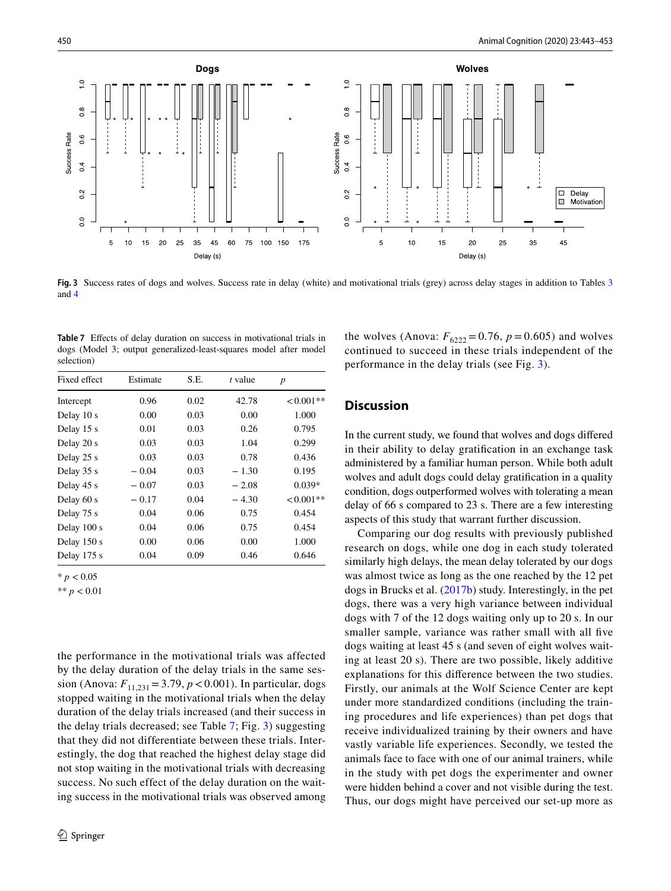

<span id="page-8-0"></span>**Fig. 3** Success rates of dogs and wolves. Success rate in delay (white) and motivational trials (grey) across delay stages in addition to Tables [3](#page-6-1) and [4](#page-6-2)

<span id="page-8-1"></span>Table 7 Effects of delay duration on success in motivational trials in dogs (Model 3; output generalized-least-squares model after model selection)

| Fixed effect | Estimate | S.E. | t value | $\boldsymbol{p}$ |
|--------------|----------|------|---------|------------------|
| Intercept    | 0.96     | 0.02 | 42.78   | $<0.001**$       |
| Delay 10 s   | 0.00     | 0.03 | 0.00    | 1.000            |
| Delay 15 s   | 0.01     | 0.03 | 0.26    | 0.795            |
| Delay 20 s   | 0.03     | 0.03 | 1.04    | 0.299            |
| Delay 25 s   | 0.03     | 0.03 | 0.78    | 0.436            |
| Delay 35 s   | $-0.04$  | 0.03 | $-1.30$ | 0.195            |
| Delay 45 s   | $-0.07$  | 0.03 | $-2.08$ | $0.039*$         |
| Delay 60 s   | $-0.17$  | 0.04 | $-4.30$ | $< 0.001**$      |
| Delay 75 s   | 0.04     | 0.06 | 0.75    | 0.454            |
| Delay 100 s  | 0.04     | 0.06 | 0.75    | 0.454            |
| Delay 150 s  | 0.00     | 0.06 | 0.00    | 1.000            |
| Delay 175 s  | 0.04     | 0.09 | 0.46    | 0.646            |

 $* p < 0.05$ 

\*\* *p* < 0.01

the performance in the motivational trials was affected by the delay duration of the delay trials in the same session (Anova:  $F_{11,231} = 3.79, p < 0.001$ ). In particular, dogs stopped waiting in the motivational trials when the delay duration of the delay trials increased (and their success in the delay trials decreased; see Table [7;](#page-8-1) Fig. [3\)](#page-8-0) suggesting that they did not differentiate between these trials. Interestingly, the dog that reached the highest delay stage did not stop waiting in the motivational trials with decreasing success. No such effect of the delay duration on the waiting success in the motivational trials was observed among the wolves (Anova:  $F_{6222} = 0.76$ ,  $p = 0.605$ ) and wolves continued to succeed in these trials independent of the performance in the delay trials (see Fig. [3\)](#page-8-0).

# **Discussion**

In the current study, we found that wolves and dogs difered in their ability to delay gratifcation in an exchange task administered by a familiar human person. While both adult wolves and adult dogs could delay gratifcation in a quality condition, dogs outperformed wolves with tolerating a mean delay of 66 s compared to 23 s. There are a few interesting aspects of this study that warrant further discussion.

Comparing our dog results with previously published research on dogs, while one dog in each study tolerated similarly high delays, the mean delay tolerated by our dogs was almost twice as long as the one reached by the 12 pet dogs in Brucks et al. [\(2017b\)](#page-11-0) study. Interestingly, in the pet dogs, there was a very high variance between individual dogs with 7 of the 12 dogs waiting only up to 20 s. In our smaller sample, variance was rather small with all fve dogs waiting at least 45 s (and seven of eight wolves waiting at least 20 s). There are two possible, likely additive explanations for this diference between the two studies. Firstly, our animals at the Wolf Science Center are kept under more standardized conditions (including the training procedures and life experiences) than pet dogs that receive individualized training by their owners and have vastly variable life experiences. Secondly, we tested the animals face to face with one of our animal trainers, while in the study with pet dogs the experimenter and owner were hidden behind a cover and not visible during the test. Thus, our dogs might have perceived our set-up more as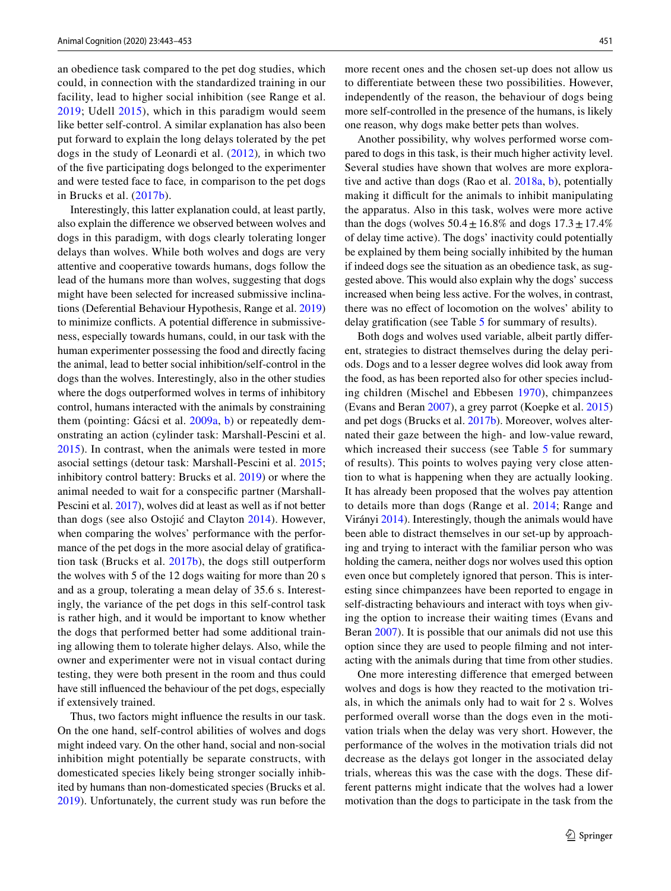an obedience task compared to the pet dog studies, which could, in connection with the standardized training in our facility, lead to higher social inhibition (see Range et al. [2019](#page-11-24); Udell [2015](#page-11-25)), which in this paradigm would seem like better self-control. A similar explanation has also been put forward to explain the long delays tolerated by the pet dogs in the study of Leonardi et al. ([2012\)](#page-11-19)*,* in which two of the fve participating dogs belonged to the experimenter and were tested face to face*,* in comparison to the pet dogs in Brucks et al. [\(2017b](#page-11-0)).

Interestingly, this latter explanation could, at least partly, also explain the diference we observed between wolves and dogs in this paradigm, with dogs clearly tolerating longer delays than wolves. While both wolves and dogs are very attentive and cooperative towards humans, dogs follow the lead of the humans more than wolves, suggesting that dogs might have been selected for increased submissive inclinations (Deferential Behaviour Hypothesis, Range et al. [2019\)](#page-11-24) to minimize conficts. A potential diference in submissiveness, especially towards humans, could, in our task with the human experimenter possessing the food and directly facing the animal, lead to better social inhibition/self-control in the dogs than the wolves. Interestingly, also in the other studies where the dogs outperformed wolves in terms of inhibitory control, humans interacted with the animals by constraining them (pointing: Gácsi et al. [2009a,](#page-11-14) [b](#page-11-15)) or repeatedly demonstrating an action (cylinder task: Marshall-Pescini et al. [2015\)](#page-11-16). In contrast, when the animals were tested in more asocial settings (detour task: Marshall-Pescini et al. [2015](#page-11-16); inhibitory control battery: Brucks et al. [2019](#page-11-17)) or where the animal needed to wait for a conspecifc partner (Marshall-Pescini et al. [2017](#page-11-26)), wolves did at least as well as if not better than dogs (see also Ostojić and Clayton [2014\)](#page-11-27). However, when comparing the wolves' performance with the performance of the pet dogs in the more asocial delay of gratifcation task (Brucks et al. [2017b\)](#page-11-0), the dogs still outperform the wolves with 5 of the 12 dogs waiting for more than 20 s and as a group, tolerating a mean delay of 35.6 s. Interestingly, the variance of the pet dogs in this self-control task is rather high, and it would be important to know whether the dogs that performed better had some additional training allowing them to tolerate higher delays. Also, while the owner and experimenter were not in visual contact during testing, they were both present in the room and thus could have still infuenced the behaviour of the pet dogs, especially if extensively trained.

Thus, two factors might infuence the results in our task. On the one hand, self-control abilities of wolves and dogs might indeed vary. On the other hand, social and non-social inhibition might potentially be separate constructs, with domesticated species likely being stronger socially inhibited by humans than non-domesticated species (Brucks et al. [2019](#page-11-17)). Unfortunately, the current study was run before the more recent ones and the chosen set-up does not allow us to diferentiate between these two possibilities. However, independently of the reason, the behaviour of dogs being more self-controlled in the presence of the humans, is likely one reason, why dogs make better pets than wolves.

Another possibility, why wolves performed worse compared to dogs in this task, is their much higher activity level. Several studies have shown that wolves are more explorative and active than dogs (Rao et al. [2018a,](#page-11-28) [b](#page-11-29)), potentially making it difficult for the animals to inhibit manipulating the apparatus. Also in this task, wolves were more active than the dogs (wolves  $50.4 \pm 16.8\%$  and dogs  $17.3 \pm 17.4\%$ of delay time active). The dogs' inactivity could potentially be explained by them being socially inhibited by the human if indeed dogs see the situation as an obedience task, as suggested above. This would also explain why the dogs' success increased when being less active. For the wolves, in contrast, there was no efect of locomotion on the wolves' ability to delay gratifcation (see Table [5](#page-7-0) for summary of results).

Both dogs and wolves used variable, albeit partly diferent, strategies to distract themselves during the delay periods. Dogs and to a lesser degree wolves did look away from the food, as has been reported also for other species including children (Mischel and Ebbesen [1970\)](#page-11-30), chimpanzees (Evans and Beran [2007](#page-11-6)), a grey parrot (Koepke et al. [2015\)](#page-11-7) and pet dogs (Brucks et al. [2017b\)](#page-11-0). Moreover, wolves alternated their gaze between the high- and low-value reward, which increased their success (see Table [5](#page-7-0) for summary of results). This points to wolves paying very close attention to what is happening when they are actually looking. It has already been proposed that the wolves pay attention to details more than dogs (Range et al. [2014;](#page-11-31) Range and Virányi [2014](#page-11-32)). Interestingly, though the animals would have been able to distract themselves in our set-up by approaching and trying to interact with the familiar person who was holding the camera, neither dogs nor wolves used this option even once but completely ignored that person. This is interesting since chimpanzees have been reported to engage in self-distracting behaviours and interact with toys when giving the option to increase their waiting times (Evans and Beran [2007\)](#page-11-6). It is possible that our animals did not use this option since they are used to people flming and not interacting with the animals during that time from other studies.

One more interesting diference that emerged between wolves and dogs is how they reacted to the motivation trials, in which the animals only had to wait for 2 s. Wolves performed overall worse than the dogs even in the motivation trials when the delay was very short. However, the performance of the wolves in the motivation trials did not decrease as the delays got longer in the associated delay trials, whereas this was the case with the dogs. These different patterns might indicate that the wolves had a lower motivation than the dogs to participate in the task from the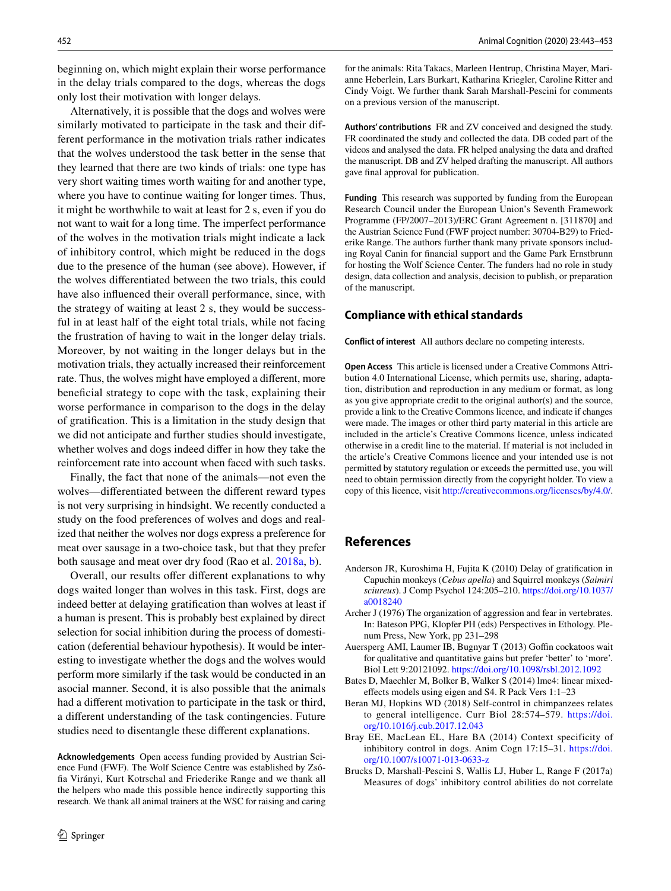beginning on, which might explain their worse performance in the delay trials compared to the dogs, whereas the dogs only lost their motivation with longer delays.

Alternatively, it is possible that the dogs and wolves were similarly motivated to participate in the task and their different performance in the motivation trials rather indicates that the wolves understood the task better in the sense that they learned that there are two kinds of trials: one type has very short waiting times worth waiting for and another type, where you have to continue waiting for longer times. Thus, it might be worthwhile to wait at least for 2 s, even if you do not want to wait for a long time. The imperfect performance of the wolves in the motivation trials might indicate a lack of inhibitory control, which might be reduced in the dogs due to the presence of the human (see above). However, if the wolves diferentiated between the two trials, this could have also infuenced their overall performance, since, with the strategy of waiting at least 2 s, they would be successful in at least half of the eight total trials, while not facing the frustration of having to wait in the longer delay trials. Moreover, by not waiting in the longer delays but in the motivation trials, they actually increased their reinforcement rate. Thus, the wolves might have employed a diferent, more beneficial strategy to cope with the task, explaining their worse performance in comparison to the dogs in the delay of gratifcation. This is a limitation in the study design that we did not anticipate and further studies should investigate, whether wolves and dogs indeed difer in how they take the reinforcement rate into account when faced with such tasks.

Finally, the fact that none of the animals—not even the wolves—diferentiated between the diferent reward types is not very surprising in hindsight. We recently conducted a study on the food preferences of wolves and dogs and realized that neither the wolves nor dogs express a preference for meat over sausage in a two-choice task, but that they prefer both sausage and meat over dry food (Rao et al. [2018a,](#page-11-28) [b\)](#page-11-29).

Overall, our results offer different explanations to why dogs waited longer than wolves in this task. First, dogs are indeed better at delaying gratifcation than wolves at least if a human is present. This is probably best explained by direct selection for social inhibition during the process of domestication (deferential behaviour hypothesis). It would be interesting to investigate whether the dogs and the wolves would perform more similarly if the task would be conducted in an asocial manner. Second, it is also possible that the animals had a diferent motivation to participate in the task or third, a diferent understanding of the task contingencies. Future studies need to disentangle these diferent explanations.

**Acknowledgements** Open access funding provided by Austrian Science Fund (FWF). The Wolf Science Centre was established by Zsófa Virányi, Kurt Kotrschal and Friederike Range and we thank all the helpers who made this possible hence indirectly supporting this research. We thank all animal trainers at the WSC for raising and caring for the animals: Rita Takacs, Marleen Hentrup, Christina Mayer, Marianne Heberlein, Lars Burkart, Katharina Kriegler, Caroline Ritter and Cindy Voigt. We further thank Sarah Marshall-Pescini for comments on a previous version of the manuscript.

**Authors' contributions** FR and ZV conceived and designed the study. FR coordinated the study and collected the data. DB coded part of the videos and analysed the data. FR helped analysing the data and drafted the manuscript. DB and ZV helped drafting the manuscript. All authors gave fnal approval for publication.

**Funding** This research was supported by funding from the European Research Council under the European Union's Seventh Framework Programme (FP/2007–2013)/ERC Grant Agreement n. [311870] and the Austrian Science Fund (FWF project number: 30704-B29) to Friederike Range. The authors further thank many private sponsors including Royal Canin for fnancial support and the Game Park Ernstbrunn for hosting the Wolf Science Center. The funders had no role in study design, data collection and analysis, decision to publish, or preparation of the manuscript.

#### **Compliance with ethical standards**

**Conflict of interest** All authors declare no competing interests.

**Open Access** This article is licensed under a Creative Commons Attribution 4.0 International License, which permits use, sharing, adaptation, distribution and reproduction in any medium or format, as long as you give appropriate credit to the original author(s) and the source, provide a link to the Creative Commons licence, and indicate if changes were made. The images or other third party material in this article are included in the article's Creative Commons licence, unless indicated otherwise in a credit line to the material. If material is not included in the article's Creative Commons licence and your intended use is not permitted by statutory regulation or exceeds the permitted use, you will need to obtain permission directly from the copyright holder. To view a copy of this licence, visit<http://creativecommons.org/licenses/by/4.0/>.

## **References**

- <span id="page-10-5"></span>Anderson JR, Kuroshima H, Fujita K (2010) Delay of gratifcation in Capuchin monkeys (*Cebus apella*) and Squirrel monkeys (*Saimiri sciureus*). J Comp Psychol 124:205–210. [https://doi.org/10.1037/](https://doi.org/10.1037/a0018240) [a0018240](https://doi.org/10.1037/a0018240)
- <span id="page-10-4"></span>Archer J (1976) The organization of aggression and fear in vertebrates. In: Bateson PPG, Klopfer PH (eds) Perspectives in Ethology. Plenum Press, New York, pp 231–298
- <span id="page-10-3"></span>Auersperg AMI, Laumer IB, Bugnyar T (2013) Goffin cockatoos wait for qualitative and quantitative gains but prefer 'better' to 'more'. Biol Lett 9:20121092.<https://doi.org/10.1098/rsbl.2012.1092>
- <span id="page-10-6"></span>Bates D, Maechler M, Bolker B, Walker S (2014) lme4: linear mixedefects models using eigen and S4. R Pack Vers 1:1–23
- <span id="page-10-2"></span>Beran MJ, Hopkins WD (2018) Self-control in chimpanzees relates to general intelligence. Curr Biol 28:574–579. [https://doi.](https://doi.org/10.1016/j.cub.2017.12.043) [org/10.1016/j.cub.2017.12.043](https://doi.org/10.1016/j.cub.2017.12.043)
- <span id="page-10-0"></span>Bray EE, MacLean EL, Hare BA (2014) Context specificity of inhibitory control in dogs. Anim Cogn 17:15–31. [https://doi.](https://doi.org/10.1007/s10071-013-0633-z) [org/10.1007/s10071-013-0633-z](https://doi.org/10.1007/s10071-013-0633-z)
- <span id="page-10-1"></span>Brucks D, Marshall-Pescini S, Wallis LJ, Huber L, Range F (2017a) Measures of dogs' inhibitory control abilities do not correlate